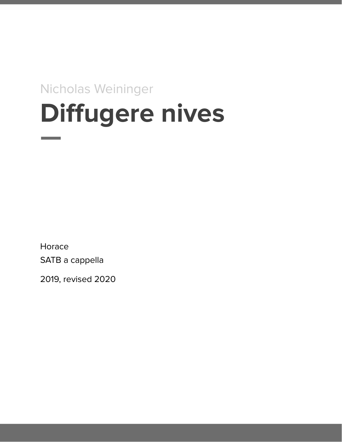Nicholas Weininger **Diffugere nives** 

Horace SATB a cappella

2019, revised 2020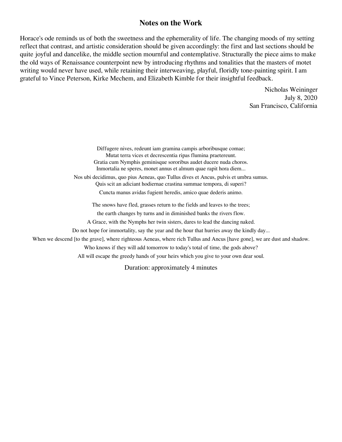## **Notes on the Work**

Horace's ode reminds us of both the sweetness and the ephemerality of life. The changing moods of my setting reflect that contrast, and artistic consideration should be given accordingly: the first and last sections should be quite joyful and dancelike, the middle section mournful and contemplative. Structurally the piece aims to make the old ways of Renaissance counterpoint new by introducing rhythms and tonalities that the masters of motet writing would never have used, while retaining their interweaving, playful, floridly tone-painting spirit. I am grateful to Vince Peterson, Kirke Mechem, and Elizabeth Kimble for their insightful feedback.

> Nicholas Weininger July 8, 2020 San Francisco, California

Diffugere nives, redeunt iam gramina campis arboribusque comae; Mutat terra vices et decrescentia ripas flumina praetereunt. Gratia cum Nymphis geminisque sororibus audet ducere nuda choros. Inmortalia ne speres, monet annus et almum quae rapit hora diem... Nos ubi decidimus, quo pius Aeneas, quo Tullus dives et Ancus, pulvis et umbra sumus. Quis scit an adiciant hodiernae crastina summae tempora, di superi? Cuncta manus avidas fugient heredis, amico quae dederis animo. The snows have fled, grasses return to the fields and leaves to the trees; the earth changes by turns and in diminished banks the rivers flow. A Grace, with the Nymphs her twin sisters, dares to lead the dancing naked. Do not hope for immortality, say the year and the hour that hurries away the kindly day... When we descend [to the grave], where righteous Aeneas, where rich Tullus and Ancus [have gone], we are dust and shadow.

Who knows if they will add tomorrow to today's total of time, the gods above?

All will escape the greedy hands of your heirs which you give to your own dear soul.

Duration: approximately 4 minutes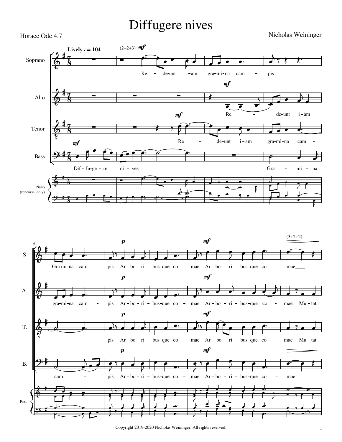## Diffugere nives

Horace Ode 4.7

Nicholas Weininger





Copyright 2019-2020 Nicholas Weininger. All rights reserved. 1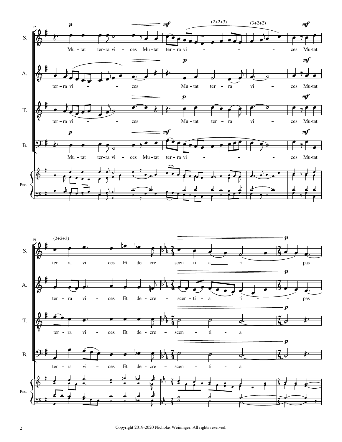

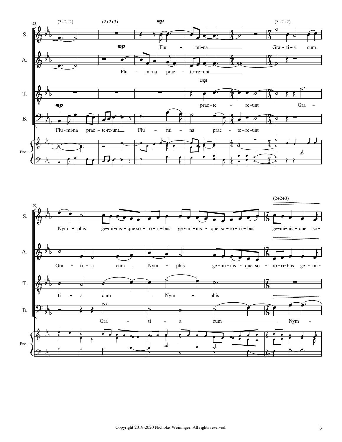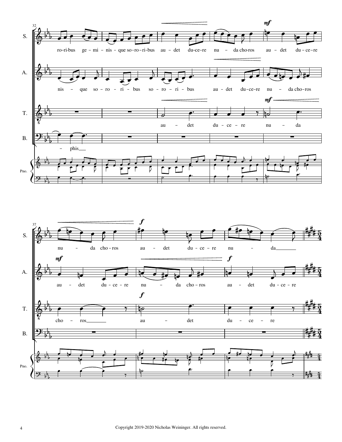

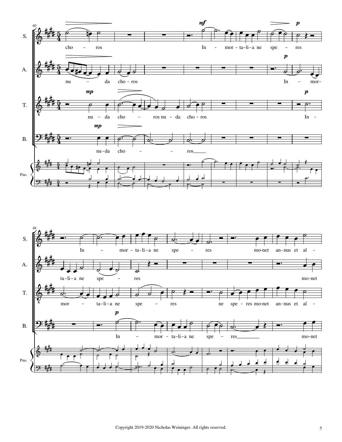

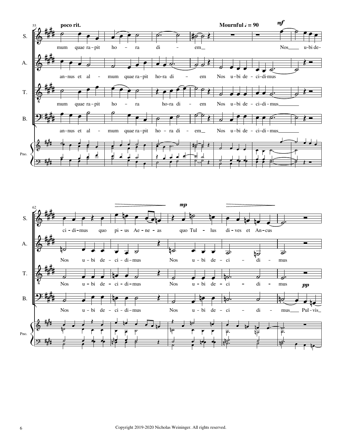

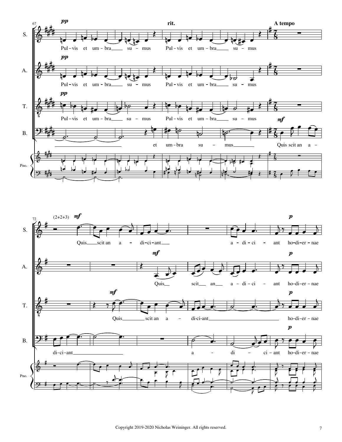

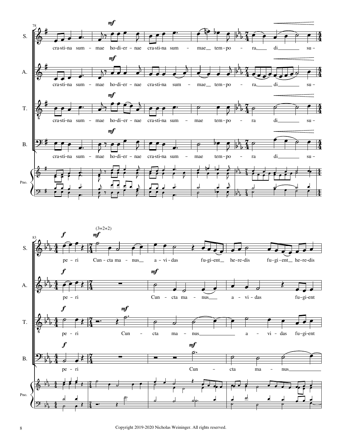



8 Copyright 2019-2020 Nicholas Weininger. All rights reserved.